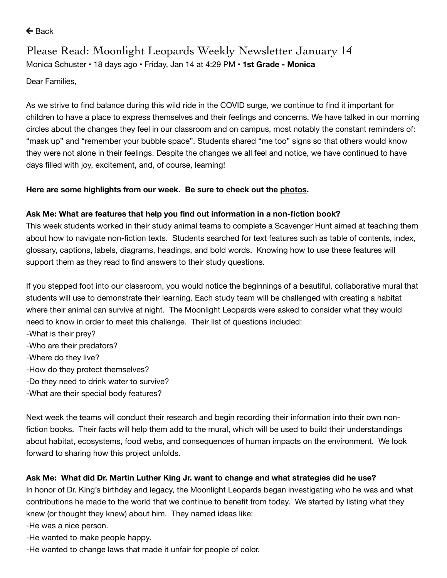$\leftarrow$  [Back](https://www.parentsquare.com/feeds/10648046)

# Please Read: Moonlight Leopards Weekly Newsletter January 14 Monica [Schuster](https://www.parentsquare.com/schools/1466/users/6536953) • 18 days ago • Friday, Jan 14 at 4:29 PM • **1st Grade - Monica**

Dear Families,

As we strive to find balance during this wild ride in the COVID surge, we continue to find it important for children to have a place to express themselves and their feelings and concerns. We have talked in our morning circles about the changes they feel in our classroom and on campus, most notably the constant reminders of: "mask up" and "remember your bubble space". Students shared "me too" signs so that others would know they were not alone in their feelings. Despite the changes we all feel and notice, we have continued to have days filled with joy, excitement, and, of course, learning!

# **Here are some highlights from our week. Be sure to check out the [photos.](https://drive.google.com/drive/folders/1-3rbooZd1z4ZQfLDxII4hPEBsy9VUZpc?usp=sharing)**

# **Ask Me: What are features that help you find out information in a non-fiction book?**

This week students worked in their study animal teams to complete a Scavenger Hunt aimed at teaching them about how to navigate non-fiction texts. Students searched for text features such as table of contents, index, glossary, captions, labels, diagrams, headings, and bold words. Knowing how to use these features will support them as they read to find answers to their study questions.

If you stepped foot into our classroom, you would notice the beginnings of a beautiful, collaborative mural that students will use to demonstrate their learning. Each study team will be challenged with creating a habitat where their animal can survive at night. The Moonlight Leopards were asked to consider what they would need to know in order to meet this challenge. Their list of questions included:

- -What is their prey?
- -Who are their predators?
- -Where do they live?
- -How do they protect themselves?
- -Do they need to drink water to survive?
- -What are their special body features?

Next week the teams will conduct their research and begin recording their information into their own nonfiction books. Their facts will help them add to the mural, which will be used to build their understandings about habitat, ecosystems, food webs, and consequences of human impacts on the environment. We look forward to sharing how this project unfolds.

# **Ask Me: What did Dr. Martin Luther King Jr. want to change and what strategies did he use?**

In honor of Dr. King's birthday and legacy, the Moonlight Leopards began investigating who he was and what contributions he made to the world that we continue to benefit from today. We started by listing what they knew (or thought they knew) about him. They named ideas like:

-He was a nice person.

-He wanted to make people happy.

-He wanted to change laws that made it unfair for people of color.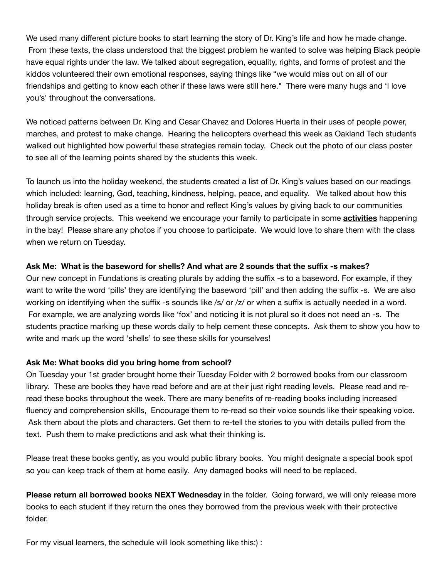We used many different picture books to start learning the story of Dr. King's life and how he made change. From these texts, the class understood that the biggest problem he wanted to solve was helping Black people have equal rights under the law. We talked about segregation, equality, rights, and forms of protest and the kiddos volunteered their own emotional responses, saying things like "we would miss out on all of our friendships and getting to know each other if these laws were still here." There were many hugs and 'I love you's' throughout the conversations.

We noticed patterns between Dr. King and Cesar Chavez and Dolores Huerta in their uses of people power, marches, and protest to make change. Hearing the helicopters overhead this week as Oakland Tech students walked out highlighted how powerful these strategies remain today. Check out the photo of our class poster to see all of the learning points shared by the students this week.

To launch us into the holiday weekend, the students created a list of Dr. King's values based on our readings which included: learning, God, teaching, kindness, helping, peace, and equality. We talked about how this holiday break is often used as a time to honor and reflect King's values by giving back to our communities through service projects. This weekend we encourage your family to participate in some **[activities](https://www.eventbrite.com/d/ca--oakland/martin-luther-king/)** happening in the bay! Please share any photos if you choose to participate. We would love to share them with the class when we return on Tuesday.

#### **Ask Me: What is the baseword for shells? And what are 2 sounds that the suffix -s makes?**

Our new concept in Fundations is creating plurals by adding the suffix -s to a baseword. For example, if they want to write the word 'pills' they are identifying the baseword 'pill' and then adding the suffix -s. We are also working on identifying when the suffix -s sounds like /s/ or /z/ or when a suffix is actually needed in a word. For example, we are analyzing words like 'fox' and noticing it is not plural so it does not need an -s. The students practice marking up these words daily to help cement these concepts. Ask them to show you how to write and mark up the word 'shells' to see these skills for yourselves!

#### **Ask Me: What books did you bring home from school?**

On Tuesday your 1st grader brought home their Tuesday Folder with 2 borrowed books from our classroom library. These are books they have read before and are at their just right reading levels. Please read and reread these books throughout the week. There are many benefits of re-reading books including increased fluency and comprehension skills, Encourage them to re-read so their voice sounds like their speaking voice. Ask them about the plots and characters. Get them to re-tell the stories to you with details pulled from the text. Push them to make predictions and ask what their thinking is.

Please treat these books gently, as you would public library books. You might designate a special book spot so you can keep track of them at home easily. Any damaged books will need to be replaced.

**Please return all borrowed books NEXT Wednesday** in the folder. Going forward, we will only release more books to each student if they return the ones they borrowed from the previous week with their protective folder.

For my visual learners, the schedule will look something like this:) :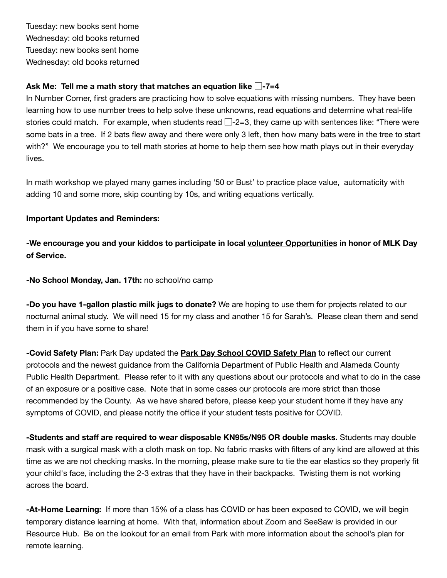Tuesday: new books sent home Wednesday: old books returned Tuesday: new books sent home Wednesday: old books returned

### **Ask Me: Tell me a math story that matches an equation like** ⃞**-7=4**

In Number Corner, first graders are practicing how to solve equations with missing numbers. They have been learning how to use number trees to help solve these unknowns, read equations and determine what real-life stories could match. For example, when students read  $\Box$ -2=3, they came up with sentences like: "There were some bats in a tree. If 2 bats flew away and there were only 3 left, then how many bats were in the tree to start with?" We encourage you to tell math stories at home to help them see how math plays out in their everyday lives.

In math workshop we played many games including '50 or Bust' to practice place value, automaticity with adding 10 and some more, skip counting by 10s, and writing equations vertically.

# **Important Updates and Reminders:**

**-We encourage you and your kiddos to participate in local volunteer [Opportunities](https://www.eventbrite.com/d/ca--oakland/martin-luther-king/) in honor of MLK Day of Service.**

**-No School Monday, Jan. 17th:** no school/no camp

**-Do you have 1-gallon plastic milk jugs to donate?** We are hoping to use them for projects related to our nocturnal animal study. We will need 15 for my class and another 15 for Sarah's. Please clean them and send them in if you have some to share!

**-Covid Safety Plan:** Park Day updated the **Park Day [School](http://email-link.parentsquare.com/ls/click?upn=HU5K2q0Fz5ADTGboxPzOzUx-2FoxqvD40X8ef2vsqiBoKdIuxVNS6l2wenLlcM2ToZax2EkdFaDs0h6uTLGamC3zysf0p5Vn2kf3G6h-2BCSc8W7e5LyoddYj2rh9aWyOvUhrM0R_r-2BtZGgcq2PsZ3BoB08JnsEye9Xw3bpCGf7xh3MqjBB36X8tt8WDJiOQvqnE9svoQtx8e1klVLi0hhHqmYWsHPqryPPj9oIvUn622lY7qlBG-2B4n5yKEI6C9PLYZa9ewLkg5hn7Q-2FfhQ2Y3DSUivx3m6lxN0xkZHDH1HvubRH5IbgC9VqRf6q42WblSlRPOnkdKHwK-2BOmSNBuf-2F09bVNeN8maqU48QMv6mL8dlwmwg7N5h1YKCq6WFjbdF4YhmHIbr9MjCX4Gm09PK2ir9yG8xVQO-2B6WPXt2om4t5IUFSozHM-3D) COVID Safety Plan** to reflect our current protocols and the newest guidance from the California Department of Public Health and Alameda County Public Health Department. Please refer to it with any questions about our protocols and what to do in the case of an exposure or a positive case. Note that in some cases our protocols are more strict than those recommended by the County. As we have shared before, please keep your student home if they have any symptoms of COVID, and please notify the office if your student tests positive for COVID.

**-Students and staff are required to wear disposable KN95s/N95 OR double masks.** Students may double mask with a surgical mask with a cloth mask on top. No fabric masks with filters of any kind are allowed at this time as we are not checking masks. In the morning, please make sure to tie the ear elastics so they properly fit your child's face, including the 2-3 extras that they have in their backpacks. Twisting them is not working across the board.

**-At-Home Learning:** If more than 15% of a class has COVID or has been exposed to COVID, we will begin temporary distance learning at home. With that, information about Zoom and SeeSaw is provided in our Resource Hub. Be on the lookout for an email from Park with more information about the school's plan for remote learning.